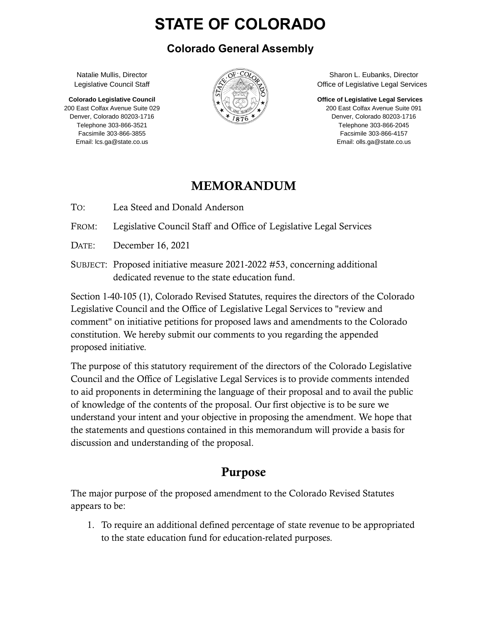# **STATE OF COLORADO**

#### **Colorado General Assembly**

Natalie Mullis, Director Legislative Council Staff

**Colorado Legislative Council** 200 East Colfax Avenue Suite 029 Denver, Colorado 80203-1716 Telephone 303-866-3521 Facsimile 303-866-3855 Email: lcs.ga@state.co.us



Sharon L. Eubanks, Director Office of Legislative Legal Services

**Office of Legislative Legal Services**

200 East Colfax Avenue Suite 091 Denver, Colorado 80203-1716 Telephone 303-866-2045 Facsimile 303-866-4157 Email: olls.ga@state.co.us

#### MEMORANDUM

TO: Lea Steed and Donald Anderson

FROM: Legislative Council Staff and Office of Legislative Legal Services

DATE: December 16, 2021

SUBJECT: Proposed initiative measure 2021-2022 #53, concerning additional dedicated revenue to the state education fund.

Section 1-40-105 (1), Colorado Revised Statutes, requires the directors of the Colorado Legislative Council and the Office of Legislative Legal Services to "review and comment" on initiative petitions for proposed laws and amendments to the Colorado constitution. We hereby submit our comments to you regarding the appended proposed initiative.

The purpose of this statutory requirement of the directors of the Colorado Legislative Council and the Office of Legislative Legal Services is to provide comments intended to aid proponents in determining the language of their proposal and to avail the public of knowledge of the contents of the proposal. Our first objective is to be sure we understand your intent and your objective in proposing the amendment. We hope that the statements and questions contained in this memorandum will provide a basis for discussion and understanding of the proposal.

## Purpose

The major purpose of the proposed amendment to the Colorado Revised Statutes appears to be:

1. To require an additional defined percentage of state revenue to be appropriated to the state education fund for education-related purposes.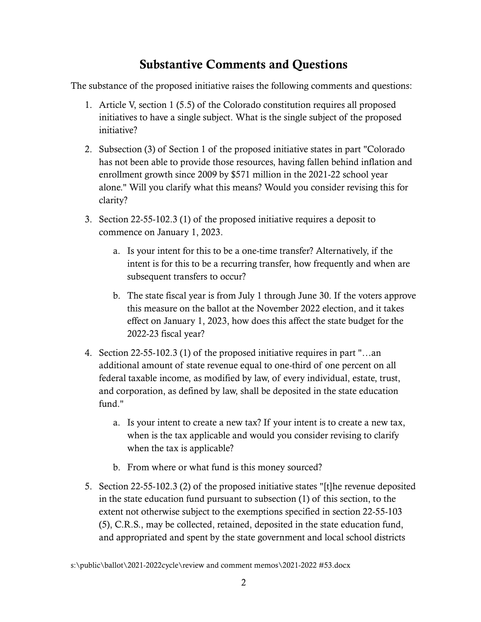## Substantive Comments and Questions

The substance of the proposed initiative raises the following comments and questions:

- 1. Article V, section 1 (5.5) of the Colorado constitution requires all proposed initiatives to have a single subject. What is the single subject of the proposed initiative?
- 2. Subsection (3) of Section 1 of the proposed initiative states in part "Colorado has not been able to provide those resources, having fallen behind inflation and enrollment growth since 2009 by \$571 million in the 2021-22 school year alone." Will you clarify what this means? Would you consider revising this for clarity?
- 3. Section 22-55-102.3 (1) of the proposed initiative requires a deposit to commence on January 1, 2023.
	- a. Is your intent for this to be a one-time transfer? Alternatively, if the intent is for this to be a recurring transfer, how frequently and when are subsequent transfers to occur?
	- b. The state fiscal year is from July 1 through June 30. If the voters approve this measure on the ballot at the November 2022 election, and it takes effect on January 1, 2023, how does this affect the state budget for the 2022-23 fiscal year?
- 4. Section 22-55-102.3 (1) of the proposed initiative requires in part "…an additional amount of state revenue equal to one-third of one percent on all federal taxable income, as modified by law, of every individual, estate, trust, and corporation, as defined by law, shall be deposited in the state education fund."
	- a. Is your intent to create a new tax? If your intent is to create a new tax, when is the tax applicable and would you consider revising to clarify when the tax is applicable?
	- b. From where or what fund is this money sourced?
- 5. Section 22-55-102.3 (2) of the proposed initiative states "[t]he revenue deposited in the state education fund pursuant to subsection (1) of this section, to the extent not otherwise subject to the exemptions specified in section 22-55-103 (5), C.R.S., may be collected, retained, deposited in the state education fund, and appropriated and spent by the state government and local school districts

s:\public\ballot\2021-2022cycle\review and comment memos\2021-2022 #53.docx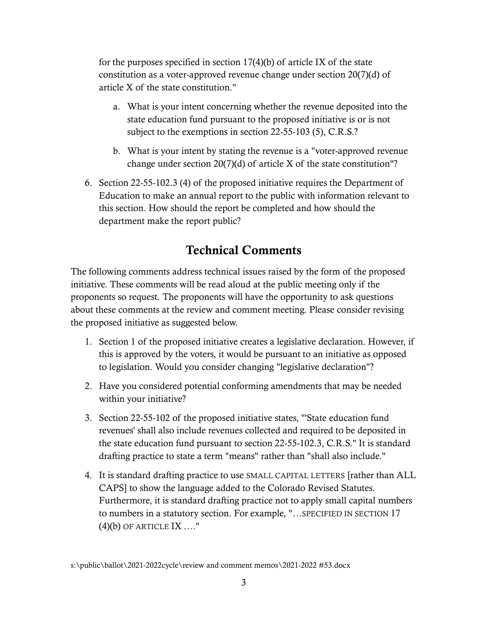for the purposes specified in section 17(4)(b) of article IX of the state constitution as a voter-approved revenue change under section 20(7)(d) of article X of the state constitution."

- a. What is your intent concerning whether the revenue deposited into the state education fund pursuant to the proposed initiative is or is not subject to the exemptions in section 22-55-103 (5), C.R.S.?
- b. What is your intent by stating the revenue is a "voter-approved revenue change under section 20(7)(d) of article X of the state constitution"?
- 6. Section 22-55-102.3 (4) of the proposed initiative requires the Department of Education to make an annual report to the public with information relevant to this section. How should the report be completed and how should the department make the report public?

#### Technical Comments

The following comments address technical issues raised by the form of the proposed initiative. These comments will be read aloud at the public meeting only if the proponents so request. The proponents will have the opportunity to ask questions about these comments at the review and comment meeting. Please consider revising the proposed initiative as suggested below.

- 1. Section 1 of the proposed initiative creates a legislative declaration. However, if this is approved by the voters, it would be pursuant to an initiative as opposed to legislation. Would you consider changing "legislative declaration"?
- 2. Have you considered potential conforming amendments that may be needed within your initiative?
- 3. Section 22-55-102 of the proposed initiative states, "'State education fund revenues' shall also include revenues collected and required to be deposited in the state education fund pursuant to section 22-55-102.3, C.R.S." It is standard drafting practice to state a term "means" rather than "shall also include."
- 4. It is standard drafting practice to use SMALL CAPITAL LETTERS [rather than ALL CAPS] to show the language added to the Colorado Revised Statutes. Furthermore, it is standard drafting practice not to apply small capital numbers to numbers in a statutory section. For example, "…SPECIFIED IN SECTION 17  $(4)(b)$  OF ARTICLE IX ...."